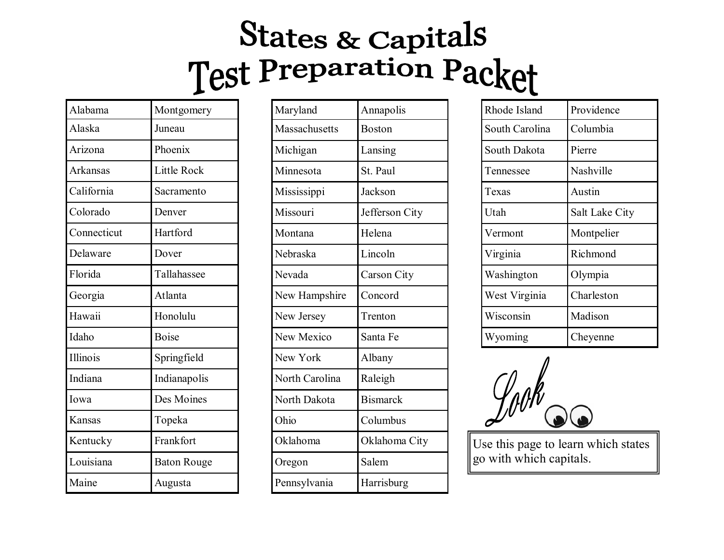## States & Capitals<br>Test Preparation Packet

| Alabama         | Montgomery         |
|-----------------|--------------------|
| Alaska          | Juneau             |
| Arizona         | Phoenix            |
| Arkansas        | <b>Little Rock</b> |
| California      | Sacramento         |
| Colorado        | Denver             |
| Connecticut     | Hartford           |
| Delaware        | Dover              |
| Florida         | Tallahassee        |
| Georgia         | Atlanta            |
| Hawaii          | Honolulu           |
| Idaho           | <b>Boise</b>       |
| <b>Illinois</b> | Springfield        |
| Indiana         | Indianapolis       |
| Iowa            | Des Moines         |
| Kansas          | Topeka             |
| Kentucky        | Frankfort          |
| Louisiana       | <b>Baton Rouge</b> |
| Maine           | Augusta            |

| Maryland       | Annapolis       |
|----------------|-----------------|
| Massachusetts  | <b>Boston</b>   |
| Michigan       | Lansing         |
| Minnesota      | St. Paul        |
| Mississippi    | Jackson         |
| Missouri       | Jefferson City  |
| Montana        | Helena          |
| Nebraska       | Lincoln         |
| Nevada         | Carson City     |
| New Hampshire  | Concord         |
| New Jersey     | Trenton         |
| New Mexico     | Santa Fe        |
| New York       | Albany          |
| North Carolina | Raleigh         |
| North Dakota   | <b>Bismarck</b> |
| Ohio           | Columbus        |
| Oklahoma       | Oklahoma City   |
| Oregon         | Salem           |
| Pennsylvania   | Harrisburg      |

| Rhode Island   | Providence     |
|----------------|----------------|
| South Carolina | Columbia       |
| South Dakota   | Pierre         |
| Tennessee      | Nashville      |
| Texas          | Austin         |
| Utah           | Salt Lake City |
|                |                |
| Vermont        | Montpelier     |
| Virginia       | Richmond       |
| Washington     | Olympia        |
| West Virginia  | Charleston     |
| Wisconsin      | Madison        |



Use this page to learn which states go with which capitals.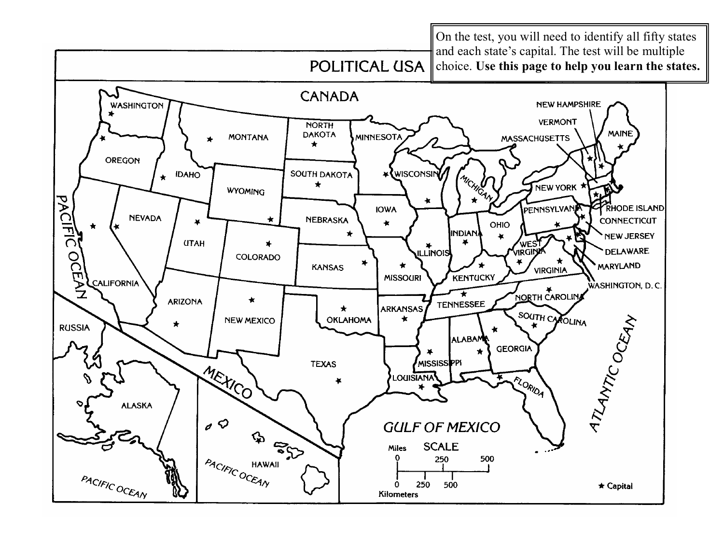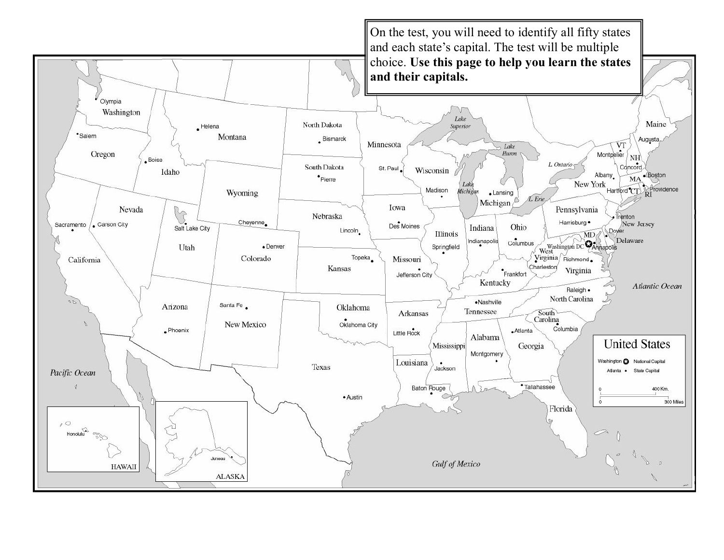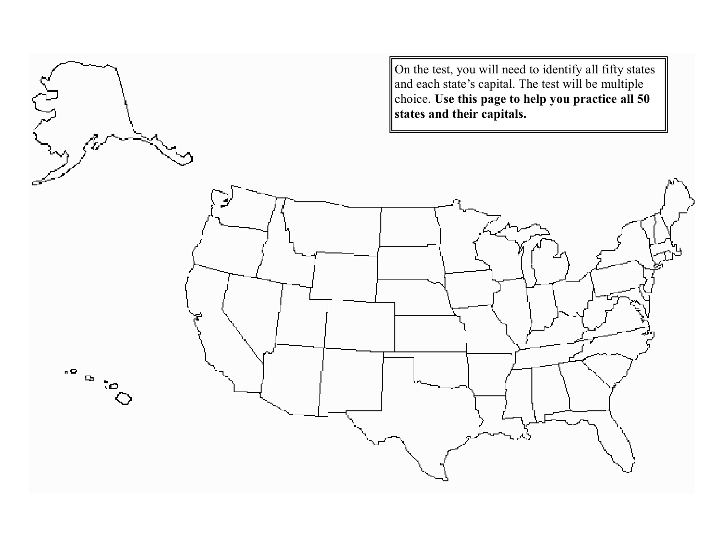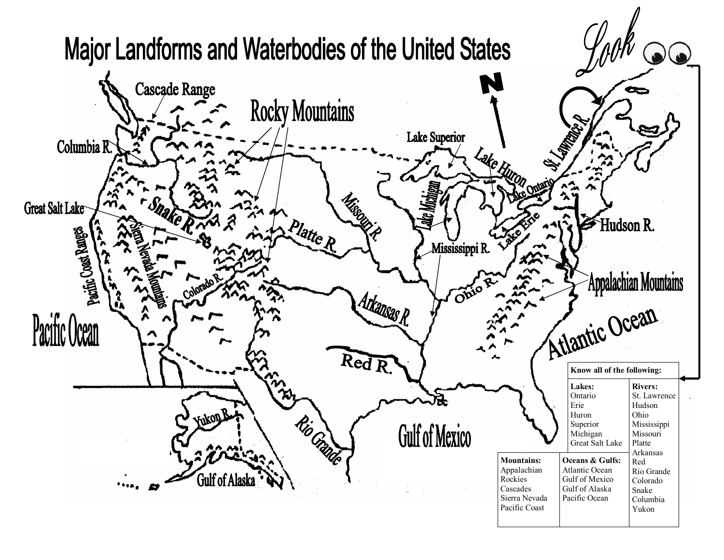